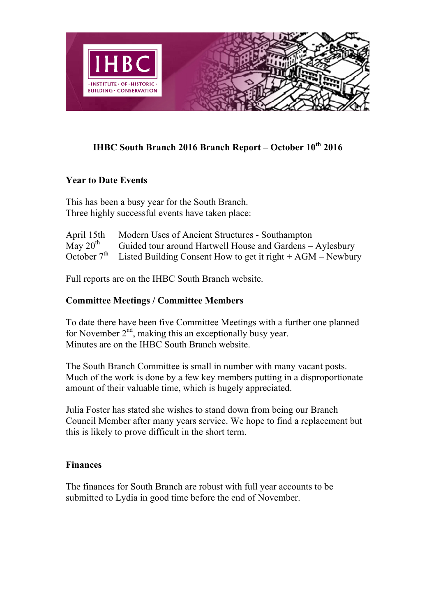

# **IHBC South Branch 2016 Branch Report – October 10th 2016**

### **Year to Date Events**

This has been a busy year for the South Branch. Three highly successful events have taken place:

| April 15th    | Modern Uses of Ancient Structures - Southampton                           |
|---------------|---------------------------------------------------------------------------|
| May $20^{th}$ | Guided tour around Hartwell House and Gardens – Aylesbury                 |
|               | October $7th$ Listed Building Consent How to get it right + AGM – Newbury |

Full reports are on the IHBC South Branch website.

### **Committee Meetings / Committee Members**

To date there have been five Committee Meetings with a further one planned for November  $2<sup>nd</sup>$ , making this an exceptionally busy year. Minutes are on the IHBC South Branch website.

The South Branch Committee is small in number with many vacant posts. Much of the work is done by a few key members putting in a disproportionate amount of their valuable time, which is hugely appreciated.

Julia Foster has stated she wishes to stand down from being our Branch Council Member after many years service. We hope to find a replacement but this is likely to prove difficult in the short term.

#### **Finances**

The finances for South Branch are robust with full year accounts to be submitted to Lydia in good time before the end of November.